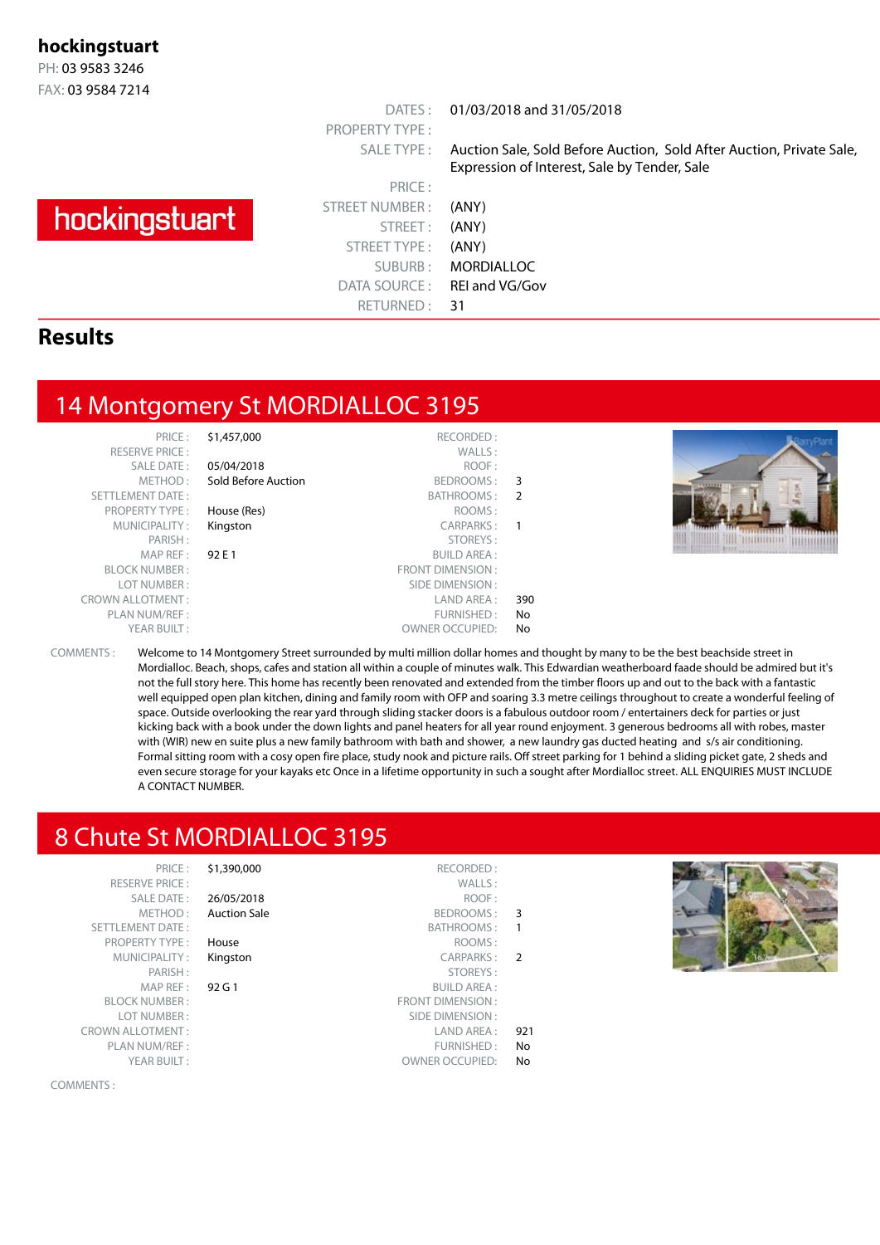#### **hockingstuart**

PH: 03 9583 3246 FAX: 03 9584 7214

# hockingstuart

PRICE : STREET NUMBER : (ANY) STREET: (ANY) STREET TYPE : (ANY) SUBURB : MORDIALLOC DATA SOURCE: REI and VG/Gov RETURNED: 31

PROPERTY TYPE :

DATES : 01/03/2018 and 31/05/2018

SALE TYPE : Auction Sale, Sold Before Auction, Sold After Auction, Private Sale, Expression of Interest, Sale by Tender, Sale

#### **Results**

## 14 Montgomery St MORDIALLOC 3195

RESERVE PRICE SALE DATE<br>METHOD SETTLEMENT DATE PROPERTY TYPE MUNICIPALITY<br>PARISH **BLOCK NUMBER** LOT NUMBER CROWN ALLOTMENT PLAN NUM/REF

| PRICE:             | \$1,457,000         | RECORDED:               |                |
|--------------------|---------------------|-------------------------|----------------|
| <b>ERVE PRICE:</b> |                     | WALLS:                  |                |
| SALE DATE:         | 05/04/2018          | ROOF:                   |                |
| METHOD:            | Sold Before Auction | BEDROOMS:               | 3              |
| MENT DATE:         |                     | BATHROOMS:              | $\overline{2}$ |
| PERTY TYPE:        | House (Res)         | ROOMS:                  |                |
| INICIPALITY:       | Kingston            | CARPARKS:               | 1              |
| PARISH:            |                     | STOREYS:                |                |
| MAP REF :          | 92 E 1              | <b>BUILD AREA:</b>      |                |
| EK NUMBER :        |                     | <b>FRONT DIMENSION:</b> |                |
| OT NUMBER :        |                     | SIDE DIMENSION:         |                |
| LLOTMENT:          |                     | LAND AREA :             | 390            |
| N NUM/REF :        |                     | FURNISHED:              | No             |
| YEAR BUILT:        |                     | <b>OWNER OCCUPIED:</b>  | N <sub>o</sub> |
|                    |                     |                         |                |



COMMENTS : Welcome to 14 Montgomery Street surrounded by multi million dollar homes and thought by many to be the best beachside street in Mordialloc. Beach, shops, cafes and station all within a couple of minutes walk. This Edwardian weatherboard faade should be admired but it's not the full story here. This home has recently been renovated and extended from the timber floors up and out to the back with a fantastic well equipped open plan kitchen, dining and family room with OFP and soaring 3.3 metre ceilings throughout to create a wonderful feeling of space. Outside overlooking the rear yard through sliding stacker doors is a fabulous outdoor room / entertainers deck for parties or just kicking back with a book under the down lights and panel heaters for all year round enjoyment. 3 generous bedrooms all with robes, master with (WIR) new en suite plus a new family bathroom with bath and shower, a new laundry gas ducted heating and s/s air conditioning. Formal sitting room with a cosy open fire place, study nook and picture rails. Off street parking for 1 behind a sliding picket gate, 2 sheds and even secure storage for your kayaks etc Once in a lifetime opportunity in such a sought after Mordialloc street. ALL ENQUIRIES MUST INCLUDE A CONTACT NUMBER.

# 8 Chute St MORDIALLOC 3195

| PRICE:                  | \$1,390,000         | RECORDED:               |               |
|-------------------------|---------------------|-------------------------|---------------|
| <b>RESERVE PRICE:</b>   |                     | WALLS:                  |               |
| <b>SALE DATE:</b>       | 26/05/2018          | ROOF:                   |               |
| METHOD:                 | <b>Auction Sale</b> | BEDROOMS:               | 3             |
| <b>SETTLEMENT DATE:</b> |                     | <b>BATHROOMS:</b>       | 1             |
| <b>PROPERTY TYPE:</b>   | House               | ROOMS:                  |               |
| MUNICIPALITY:           | Kingston            | <b>CARPARKS:</b>        | $\mathcal{P}$ |
| PARISH:                 |                     | STOREYS:                |               |
| MAP REF:                | 92G1                | <b>BUILD AREA:</b>      |               |
| <b>BLOCK NUMBER:</b>    |                     | <b>FRONT DIMENSION:</b> |               |
| LOT NUMBER:             |                     | SIDE DIMENSION:         |               |
| <b>CROWN ALLOTMENT:</b> |                     | LAND AREA:              | 921           |
| PLAN NUM/REF :          |                     | FURNISHED:              | No            |
| YEAR BUILT:             |                     | <b>OWNER OCCUPIED:</b>  | No            |
|                         |                     |                         |               |



COMMENTS :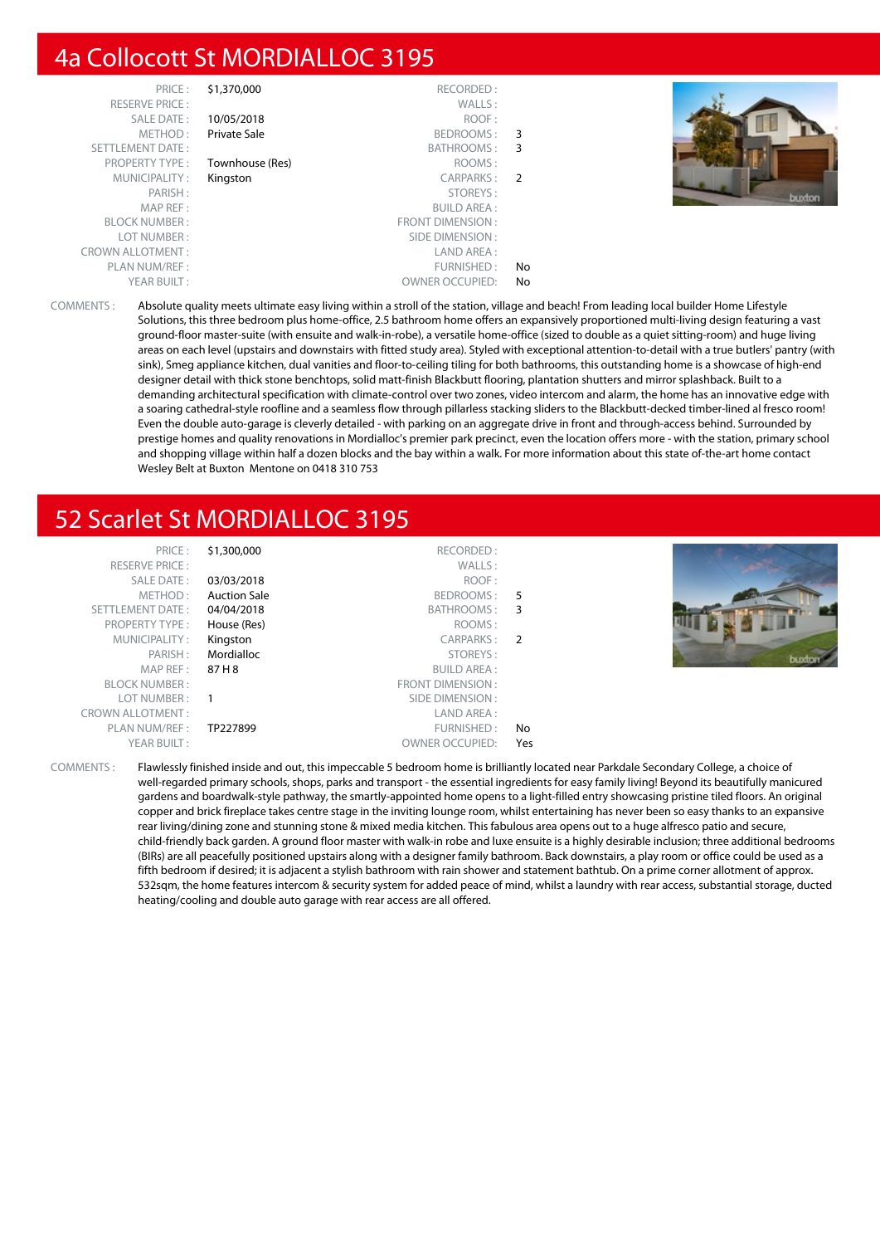## 4a Collocott St MORDIALLOC 3195

|               | RECORDED:               | \$1,370,000     | PRICE:                  |
|---------------|-------------------------|-----------------|-------------------------|
|               | WALLS:                  |                 | <b>RESERVE PRICE:</b>   |
|               | ROOF:                   | 10/05/2018      | <b>SALE DATE:</b>       |
| 3             | BEDROOMS:               | Private Sale    | METHOD:                 |
| 3             | BATHROOMS:              |                 | <b>SETTLEMENT DATE:</b> |
|               | ROOMS:                  | Townhouse (Res) | <b>PROPERTY TYPE:</b>   |
| $\mathcal{P}$ | CARPARKS:               | Kingston        | MUNICIPALITY:           |
|               | STOREYS:                |                 | PARISH:                 |
|               | <b>BUILD AREA:</b>      |                 | MAP REF:                |
|               | <b>FRONT DIMENSION:</b> |                 | <b>BLOCK NUMBER:</b>    |
|               | SIDE DIMENSION:         |                 | LOT NUMBER:             |
|               | LAND AREA:              |                 | <b>CROWN ALLOTMENT:</b> |
| No            | FURNISHED:              |                 | PLAN NUM/REF:           |
| No            | <b>OWNER OCCUPIED:</b>  |                 | YEAR BUILT:             |



COMMENTS : Absolute quality meets ultimate easy living within a stroll of the station, village and beach! From leading local builder Home Lifestyle Solutions, this three bedroom plus home-office, 2.5 bathroom home offers an expansively proportioned multi-living design featuring a vast ground-floor master-suite (with ensuite and walk-in-robe), a versatile home-office (sized to double as a quiet sitting-room) and huge living areas on each level (upstairs and downstairs with fitted study area). Styled with exceptional attention-to-detail with a true butlers' pantry (with sink), Smeg appliance kitchen, dual vanities and floor-to-ceiling tiling for both bathrooms, this outstanding home is a showcase of high-end designer detail with thick stone benchtops, solid matt-finish Blackbutt flooring, plantation shutters and mirror splashback. Built to a demanding architectural specification with climate-control over two zones, video intercom and alarm, the home has an innovative edge with a soaring cathedral-style roofline and a seamless flow through pillarless stacking sliders to the Blackbutt-decked timber-lined al fresco room! Even the double auto-garage is cleverly detailed - with parking on an aggregate drive in front and through-access behind. Surrounded by prestige homes and quality renovations in Mordialloc's premier park precinct, even the location offers more - with the station, primary school and shopping village within half a dozen blocks and the bay within a walk. For more information about this state of-the-art home contact Wesley Belt at Buxton Mentone on 0418 310 753

## 52 Scarlet St MORDIALLOC 3195

| PRICE:<br><b>RESERVE PRICE:</b><br>SALE DATE:<br>METHOD:<br><b>SETTLEMENT DATE:</b><br><b>PROPERTY TYPE:</b><br>MUNICIPALITY:<br>PARISH:<br>MAP REF :<br><b>BLOCK NUMBER:</b><br>LOT NUMBER :<br><b>CROWN ALLOTMENT:</b><br>PLAN NUM/REF: | \$1,300,000<br>03/03/2018<br><b>Auction Sale</b><br>04/04/2018<br>House (Res)<br>Kingston<br>Mordialloc<br>87 H 8<br>TP227899 | RECORDED:<br>WALLS:<br>ROOF:<br>BEDROOMS:<br>BATHROOMS: 3<br>ROOMS:<br>CARPARKS: 2<br>STOREYS:<br>BUILD AREA :<br>FRONT DIMENSION:<br>SIDE DIMENSION :<br>LAND AREA :<br>FURNISHED: | -5<br>No |  |
|-------------------------------------------------------------------------------------------------------------------------------------------------------------------------------------------------------------------------------------------|-------------------------------------------------------------------------------------------------------------------------------|-------------------------------------------------------------------------------------------------------------------------------------------------------------------------------------|----------|--|
| YEAR BUILT:                                                                                                                                                                                                                               |                                                                                                                               | <b>OWNER OCCUPIED:</b>                                                                                                                                                              | Yes      |  |
|                                                                                                                                                                                                                                           |                                                                                                                               |                                                                                                                                                                                     |          |  |

COMMENTS : Flawlessly finished inside and out, this impeccable 5 bedroom home is brilliantly located near Parkdale Secondary College, a choice of well-regarded primary schools, shops, parks and transport - the essential ingredients for easy family living! Beyond its beautifully manicured gardens and boardwalk-style pathway, the smartly-appointed home opens to a light-filled entry showcasing pristine tiled floors. An original copper and brick fireplace takes centre stage in the inviting lounge room, whilst entertaining has never been so easy thanks to an expansive rear living/dining zone and stunning stone & mixed media kitchen. This fabulous area opens out to a huge alfresco patio and secure, child-friendly back garden. A ground floor master with walk-in robe and luxe ensuite is a highly desirable inclusion; three additional bedrooms (BIRs) are all peacefully positioned upstairs along with a designer family bathroom. Back downstairs, a play room or office could be used as a fifth bedroom if desired; it is adjacent a stylish bathroom with rain shower and statement bathtub. On a prime corner allotment of approx. 532sqm, the home features intercom & security system for added peace of mind, whilst a laundry with rear access, substantial storage, ducted heating/cooling and double auto garage with rear access are all offered.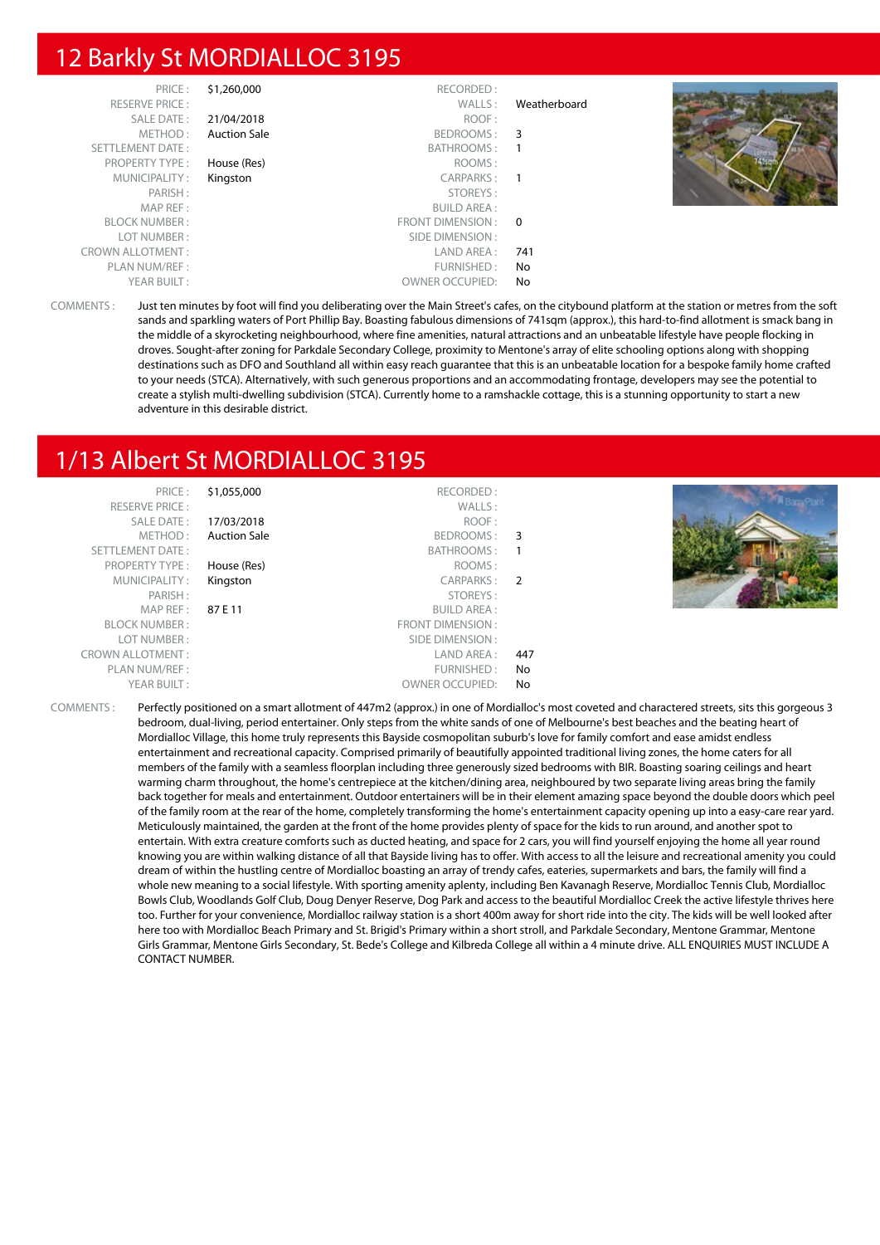## 12 Barkly St MORDIALLOC 3195

|              | RECORDED:              | \$1,260,000         | PRICE:                  |
|--------------|------------------------|---------------------|-------------------------|
| Weatherboard | WALLS:                 |                     | <b>RESERVE PRICE:</b>   |
|              | ROOF:                  | 21/04/2018          | SALE DATE:              |
|              | BEDROOMS: 3            | <b>Auction Sale</b> | METHOD:                 |
|              | BATHROOMS:             |                     | SETTLEMENT DATE:        |
|              | ROOMS:                 | House (Res)         | <b>PROPERTY TYPE:</b>   |
|              | CARPARKS:              | Kingston            | MUNICIPALITY:           |
|              | STOREYS:               |                     | PARISH:                 |
|              | <b>BUILD AREA:</b>     |                     | MAP REF :               |
|              | FRONT DIMENSION: 0     |                     | <b>BLOCK NUMBER:</b>    |
|              | SIDE DIMENSION :       |                     | LOT NUMBER:             |
| 741          | LAND AREA :            |                     | <b>CROWN ALLOTMENT:</b> |
| No           | FURNISHED:             |                     | PLAN NUM/REF :          |
| No           | <b>OWNER OCCUPIED:</b> |                     | YEAR BUILT:             |

COMMENTS : Just ten minutes by foot will find you deliberating over the Main Street's cafes, on the citybound platform at the station or metres from the soft sands and sparkling waters of Port Phillip Bay. Boasting fabulous dimensions of 741sqm (approx.), this hard-to-find allotment is smack bang in the middle of a skyrocketing neighbourhood, where fine amenities, natural attractions and an unbeatable lifestyle have people flocking in droves. Sought-after zoning for Parkdale Secondary College, proximity to Mentone's array of elite schooling options along with shopping destinations such as DFO and Southland all within easy reach guarantee that this is an unbeatable location for a bespoke family home crafted to your needs (STCA). Alternatively, with such generous proportions and an accommodating frontage, developers may see the potential to create a stylish multi-dwelling subdivision (STCA). Currently home to a ramshackle cottage, this is a stunning opportunity to start a new adventure in this desirable district.

## 1/13 Albert St MORDIALLOC 3195

| PRICE:                  | \$1,055,000         | RECORDED:              |              |  |
|-------------------------|---------------------|------------------------|--------------|--|
| <b>RESERVE PRICE:</b>   |                     | WALLS:                 |              |  |
| <b>SALE DATE:</b>       | 17/03/2018          | ROOF:                  |              |  |
| METHOD:                 | <b>Auction Sale</b> | BEDROOMS: 3            |              |  |
| SETTLEMENT DATE:        |                     | BATHROOMS:             | $\mathbf{1}$ |  |
| <b>PROPERTY TYPE:</b>   | House (Res)         | ROOMS:                 |              |  |
| MUNICIPALITY:           | Kingston            | CARPARKS: 2            |              |  |
| PARISH:                 |                     | STOREYS:               |              |  |
| MAPREF:                 | 87 E 11             | <b>BUILD AREA:</b>     |              |  |
| <b>BLOCK NUMBER:</b>    |                     | FRONT DIMENSION:       |              |  |
| LOT NUMBER:             |                     | SIDE DIMENSION :       |              |  |
| <b>CROWN ALLOTMENT:</b> |                     | LAND AREA :            | 447          |  |
| PLAN NUM/REF :          |                     | FURNISHED:             | No           |  |
| YEAR BUILT:             |                     | <b>OWNER OCCUPIED:</b> | No           |  |
|                         |                     |                        |              |  |

COMMENTS : Perfectly positioned on a smart allotment of 447m2 (approx.) in one of Mordialloc's most coveted and charactered streets, sits this gorgeous 3 bedroom, dual-living, period entertainer. Only steps from the white sands of one of Melbourne's best beaches and the beating heart of Mordialloc Village, this home truly represents this Bayside cosmopolitan suburb's love for family comfort and ease amidst endless entertainment and recreational capacity. Comprised primarily of beautifully appointed traditional living zones, the home caters for all members of the family with a seamless floorplan including three generously sized bedrooms with BIR. Boasting soaring ceilings and heart warming charm throughout, the home's centrepiece at the kitchen/dining area, neighboured by two separate living areas bring the family back together for meals and entertainment. Outdoor entertainers will be in their element amazing space beyond the double doors which peel of the family room at the rear of the home, completely transforming the home's entertainment capacity opening up into a easy-care rear yard. Meticulously maintained, the garden at the front of the home provides plenty of space for the kids to run around, and another spot to entertain. With extra creature comforts such as ducted heating, and space for 2 cars, you will find yourself enjoying the home all year round knowing you are within walking distance of all that Bayside living has to offer. With access to all the leisure and recreational amenity you could dream of within the hustling centre of Mordialloc boasting an array of trendy cafes, eateries, supermarkets and bars, the family will find a whole new meaning to a social lifestyle. With sporting amenity aplenty, including Ben Kavanagh Reserve, Mordialloc Tennis Club, Mordialloc Bowls Club, Woodlands Golf Club, Doug Denyer Reserve, Dog Park and access to the beautiful Mordialloc Creek the active lifestyle thrives here too. Further for your convenience, Mordialloc railway station is a short 400m away for short ride into the city. The kids will be well looked after here too with Mordialloc Beach Primary and St. Brigid's Primary within a short stroll, and Parkdale Secondary, Mentone Grammar, Mentone Girls Grammar, Mentone Girls Secondary, St. Bede's College and Kilbreda College all within a 4 minute drive. ALL ENQUIRIES MUST INCLUDE A CONTACT NUMBER.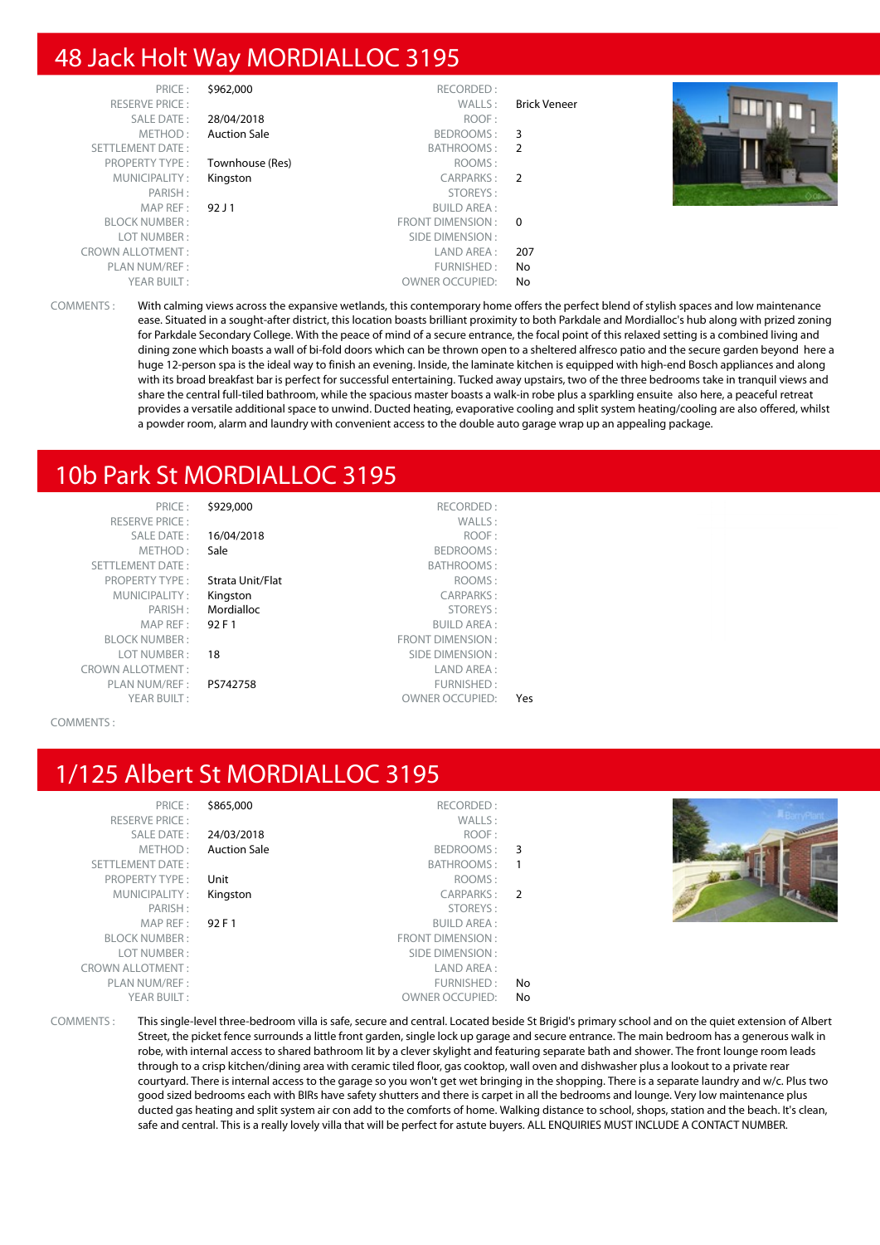## 48 Jack Holt Way MORDIALLOC 3195

|                     | RECORDED:              | \$962,000           | PRICE:                  |
|---------------------|------------------------|---------------------|-------------------------|
| <b>Brick Veneer</b> | WALLS:                 |                     | <b>RESERVE PRICE:</b>   |
|                     | ROOF:                  | 28/04/2018          | <b>SALE DATE:</b>       |
| 3                   | BEDROOMS:              | <b>Auction Sale</b> | METHOD:                 |
| -2                  | BATHROOMS:             |                     | SETTLEMENT DATE:        |
|                     | ROOMS:                 | Townhouse (Res)     | <b>PROPERTY TYPE:</b>   |
|                     | CARPARKS: 2            | Kingston            | MUNICIPALITY:           |
|                     | STOREYS:               |                     | PARISH:                 |
|                     | <b>BUILD AREA:</b>     | 92 J 1              | MAP REF:                |
|                     | FRONT DIMENSION : 0    |                     | <b>BLOCK NUMBER:</b>    |
|                     | SIDE DIMENSION :       |                     | LOT NUMBER:             |
| 207                 | LAND AREA :            |                     | <b>CROWN ALLOTMENT:</b> |
| No                  | FURNISHED:             |                     | PLAN NUM/REF :          |
| No                  | <b>OWNER OCCUPIED:</b> |                     | YEAR BUILT:             |

COMMENTS : With calming views across the expansive wetlands, this contemporary home offers the perfect blend of stylish spaces and low maintenance ease. Situated in a sought-after district, this location boasts brilliant proximity to both Parkdale and Mordialloc's hub along with prized zoning for Parkdale Secondary College. With the peace of mind of a secure entrance, the focal point of this relaxed setting is a combined living and dining zone which boasts a wall of bi-fold doors which can be thrown open to a sheltered alfresco patio and the secure garden beyond here a huge 12-person spa is the ideal way to finish an evening. Inside, the laminate kitchen is equipped with high-end Bosch appliances and along with its broad breakfast bar is perfect for successful entertaining. Tucked away upstairs, two of the three bedrooms take in tranquil views and share the central full-tiled bathroom, while the spacious master boasts a walk-in robe plus a sparkling ensuite also here, a peaceful retreat provides a versatile additional space to unwind. Ducted heating, evaporative cooling and split system heating/cooling are also offered, whilst a powder room, alarm and laundry with convenient access to the double auto garage wrap up an appealing package.

## 10b Park St MORDIALLOC 3195

| PRICE:                    | \$929,000        | RECORDED:               |
|---------------------------|------------------|-------------------------|
| <b>RESERVE PRICE:</b>     |                  | WALLS:                  |
| SALE DATE:                | 16/04/2018       | ROOF:                   |
| METHOD:                   | Sale             | BEDROOMS:               |
| <b>SETTLEMENT DATE:</b>   |                  | <b>BATHROOMS:</b>       |
| <b>PROPERTY TYPE:</b>     | Strata Unit/Flat | ROOMS:                  |
| MUNICIPALITY:             | Kingston         | <b>CARPARKS:</b>        |
| PARISH:                   | Mordialloc       | STOREYS:                |
| MAP REF:                  | 92 F 1           | <b>BUILD AREA:</b>      |
| <b>BLOCK NUMBER:</b>      |                  | <b>FRONT DIMENSION:</b> |
| LOT NUMBER:               | 18               | SIDE DIMENSION:         |
| <b>CROWN ALLOTMENT:</b>   |                  | LAND AREA:              |
| PLAN NUM/REF:             | PS742758         | FURNISHED:              |
| $VFA$ $D$ $D$ $H$ $H$ $T$ |                  |                         |

RESERVE PRICE : WALLS : **16/04/2018** ROOF : Sale BEDROOMS : BATHROOMS : **Property Type Strata Unit/Flat** ROOMS : Kingston CARPARKS : Mordialloc STOREYS : **92 F 1** BUILD AREA : FRONT DIMENSION : **18** SIDE DIMENSION : LAND AREA : PS742758 FURNISHED : YEAR BUILT : THE STATE OF THE SERVICE OWNER OCCUPIED: Yes

COMMENTS :

## 1/125 Albert St MORDIALLOC 3195

| PRICE:<br><b>RESERVE PRICE:</b><br>SALE DATE:<br>METHOD:<br><b>SETTLEMENT DATE:</b><br><b>PROPERTY TYPE:</b><br>MUNICIPALITY:<br>PARISH:<br>MAP REF:<br><b>BLOCK NUMBER:</b><br>LOT NUMBER:<br><b>CROWN ALLOTMENT:</b> | \$865,000<br>24/03/2018<br><b>Auction Sale</b><br>Unit<br>Kingston<br>92 F 1 | RECORDED:<br>WALLS:<br>ROOF:<br>BEDROOMS: 3<br>BATHROOMS:<br>ROOMS:<br>CARPARKS: 2<br>STOREYS:<br><b>BUILD AREA:</b><br>FRONT DIMENSION:<br>SIDE DIMENSION :<br>LAND AREA: |          |  |
|------------------------------------------------------------------------------------------------------------------------------------------------------------------------------------------------------------------------|------------------------------------------------------------------------------|----------------------------------------------------------------------------------------------------------------------------------------------------------------------------|----------|--|
| PLAN NUM/REF :<br>YEAR BUILT:                                                                                                                                                                                          |                                                                              | FURNISHED:<br><b>OWNER OCCUPIED:</b>                                                                                                                                       | No<br>No |  |

COMMENTS : This single-level three-bedroom villa is safe, secure and central. Located beside St Brigid's primary school and on the quiet extension of Albert Street, the picket fence surrounds a little front garden, single lock up garage and secure entrance. The main bedroom has a generous walk in robe, with internal access to shared bathroom lit by a clever skylight and featuring separate bath and shower. The front lounge room leads through to a crisp kitchen/dining area with ceramic tiled floor, gas cooktop, wall oven and dishwasher plus a lookout to a private rear courtyard. There is internal access to the garage so you won't get wet bringing in the shopping. There is a separate laundry and w/c. Plus two good sized bedrooms each with BIRs have safety shutters and there is carpet in all the bedrooms and lounge. Very low maintenance plus ducted gas heating and split system air con add to the comforts of home. Walking distance to school, shops, station and the beach. It's clean, safe and central. This is a really lovely villa that will be perfect for astute buyers. ALL ENQUIRIES MUST INCLUDE A CONTACT NUMBER.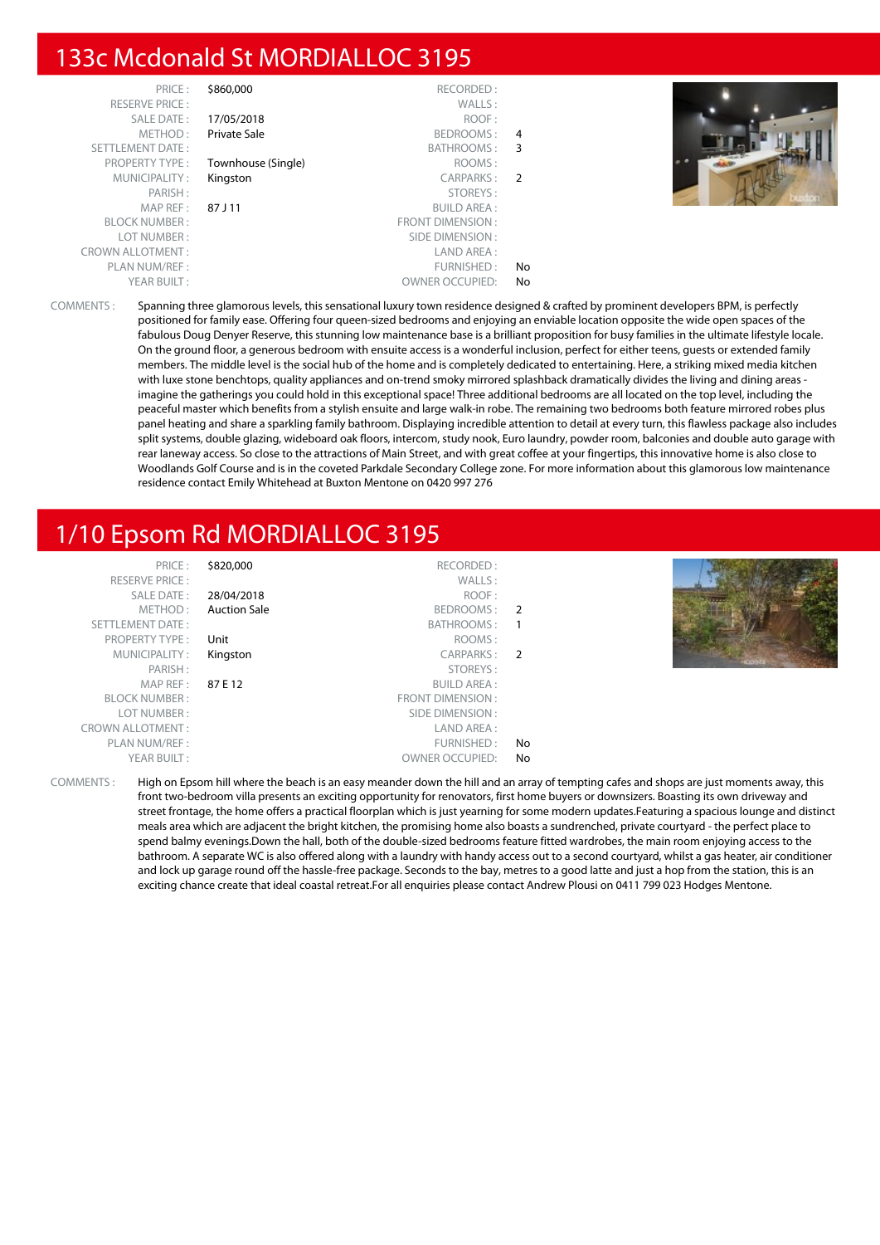## 133c Mcdonald St MORDIALLOC 3195

| PRICE:                  | \$860,000          | RECORDED:               |                |
|-------------------------|--------------------|-------------------------|----------------|
| <b>RESERVE PRICE:</b>   |                    | WALLS:                  |                |
| <b>SALE DATE:</b>       | 17/05/2018         | ROOF:                   |                |
| METHOD:                 | Private Sale       | BEDROOMS:               | 4              |
| <b>SETTLEMENT DATE:</b> |                    | BATHROOMS:              | 3              |
| <b>PROPERTY TYPE:</b>   | Townhouse (Single) | ROOMS:                  |                |
| MUNICIPALITY:           | Kingston           | CARPARKS:               | $\overline{2}$ |
| PARISH:                 |                    | STOREYS:                |                |
| MAP REF:                | 87 J 11            | <b>BUILD AREA:</b>      |                |
| <b>BLOCK NUMBER:</b>    |                    | <b>FRONT DIMENSION:</b> |                |
| LOT NUMBER:             |                    | SIDE DIMENSION:         |                |
| <b>CROWN ALLOTMENT:</b> |                    | LAND AREA:              |                |
| PLAN NUM/REF:           |                    | FURNISHED:              | No             |
| YEAR BUILT:             |                    | <b>OWNER OCCUPIED:</b>  | No             |



COMMENTS : Spanning three glamorous levels, this sensational luxury town residence designed & crafted by prominent developers BPM, is perfectly positioned for family ease. Offering four queen-sized bedrooms and enjoying an enviable location opposite the wide open spaces of the fabulous Doug Denyer Reserve, this stunning low maintenance base is a brilliant proposition for busy families in the ultimate lifestyle locale. On the ground floor, a generous bedroom with ensuite access is a wonderful inclusion, perfect for either teens, guests or extended family members. The middle level is the social hub of the home and is completely dedicated to entertaining. Here, a striking mixed media kitchen with luxe stone benchtops, quality appliances and on-trend smoky mirrored splashback dramatically divides the living and dining areas imagine the gatherings you could hold in this exceptional space! Three additional bedrooms are all located on the top level, including the peaceful master which benefits from a stylish ensuite and large walk-in robe. The remaining two bedrooms both feature mirrored robes plus panel heating and share a sparkling family bathroom. Displaying incredible attention to detail at every turn, this flawless package also includes split systems, double glazing, wideboard oak floors, intercom, study nook, Euro laundry, powder room, balconies and double auto garage with rear laneway access. So close to the attractions of Main Street, and with great coffee at your fingertips, this innovative home is also close to Woodlands Golf Course and is in the coveted Parkdale Secondary College zone. For more information about this glamorous low maintenance residence contact Emily Whitehead at Buxton Mentone on 0420 997 276

## 1/10 Epsom Rd MORDIALLOC 3195

| \$820,000<br>PRICE:<br><b>RESERVE PRICE:</b><br><b>SALE DATE:</b><br>28/04/2018<br><b>Auction Sale</b><br>METHOD:<br>SETTLEMENT DATE:<br>PROPERTY TYPE:<br>Unit<br>MUNICIPALITY:<br>Kingston<br>PARISH:<br>MAPREF:<br>87 E 12<br><b>BLOCK NUMBER:</b><br>FRONT DIMENSION :<br>LOT NUMBER:<br><b>CROWN ALLOTMENT:</b><br>PLAN NUM/REF: | RECORDED:<br>WALLS:<br>ROOF:<br>BEDROOMS: 2<br>BATHROOMS:<br>ROOMS:<br>CARPARKS: 2<br><b>KERSER</b><br>STOREYS:<br>BUILD AREA :<br>SIDE DIMENSION :<br>LAND AREA:<br>FURNISHED:<br>No |
|---------------------------------------------------------------------------------------------------------------------------------------------------------------------------------------------------------------------------------------------------------------------------------------------------------------------------------------|---------------------------------------------------------------------------------------------------------------------------------------------------------------------------------------|
| YEAR BUILT:                                                                                                                                                                                                                                                                                                                           | <b>OWNER OCCUPIED:</b><br>No                                                                                                                                                          |

COMMENTS : High on Epsom hill where the beach is an easy meander down the hill and an array of tempting cafes and shops are just moments away, this front two-bedroom villa presents an exciting opportunity for renovators, first home buyers or downsizers. Boasting its own driveway and street frontage, the home offers a practical floorplan which is just yearning for some modern updates.Featuring a spacious lounge and distinct meals area which are adjacent the bright kitchen, the promising home also boasts a sundrenched, private courtyard - the perfect place to spend balmy evenings.Down the hall, both of the double-sized bedrooms feature fitted wardrobes, the main room enjoying access to the bathroom. A separate WC is also offered along with a laundry with handy access out to a second courtyard, whilst a gas heater, air conditioner and lock up garage round off the hassle-free package. Seconds to the bay, metres to a good latte and just a hop from the station, this is an exciting chance create that ideal coastal retreat.For all enquiries please contact Andrew Plousi on 0411 799 023 Hodges Mentone.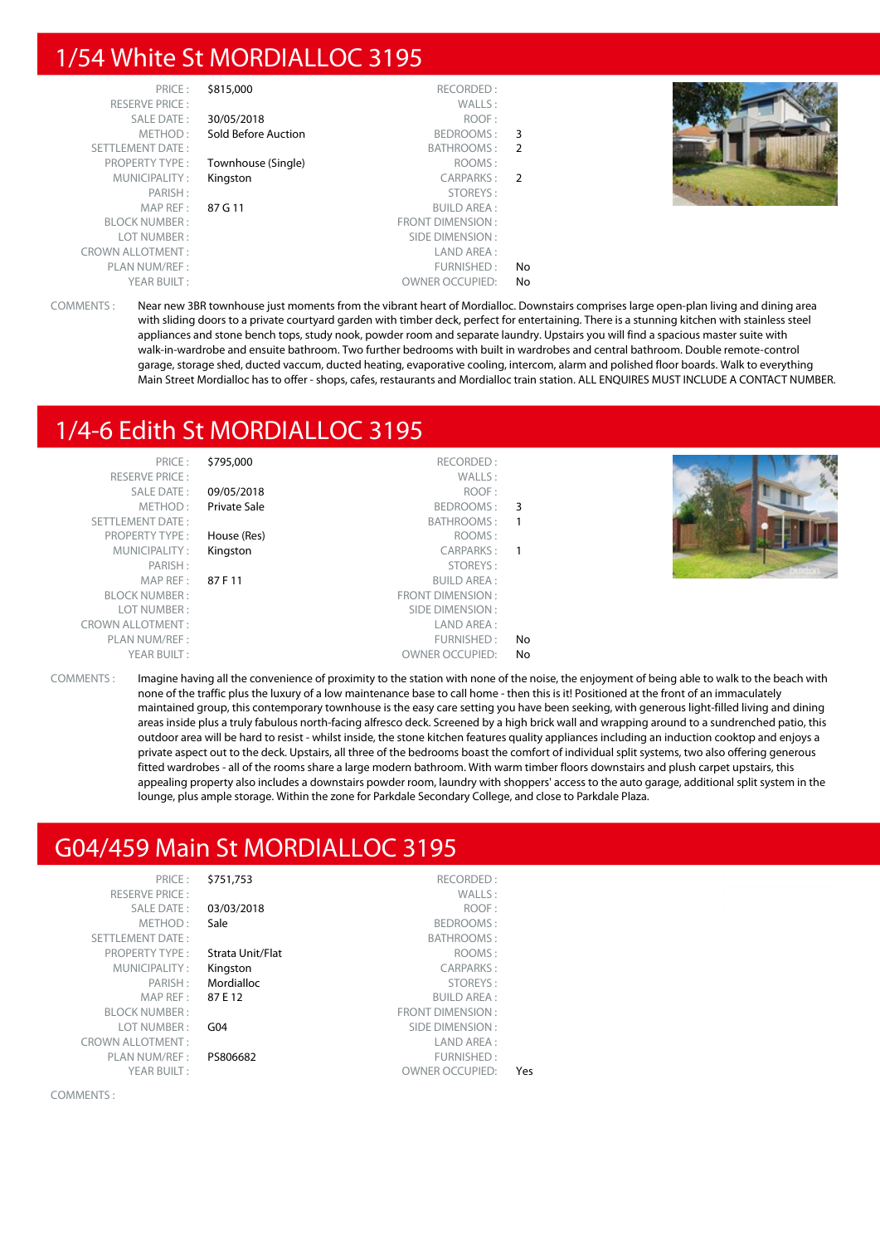## 1/54 White St MORDIALLOC 3195

| PRICE:                  | \$815,000           | RECORDED:               |               |
|-------------------------|---------------------|-------------------------|---------------|
| <b>RESERVE PRICE:</b>   |                     | WALLS:                  |               |
| <b>SALE DATE:</b>       | 30/05/2018          | ROOF:                   |               |
| METHOD:                 | Sold Before Auction | BEDROOMS:               | 3             |
| <b>SETTLEMENT DATE:</b> |                     | BATHROOMS:              | 2             |
| <b>PROPERTY TYPE:</b>   | Townhouse (Single)  | ROOMS:                  |               |
| MUNICIPALITY:           | Kingston            | CARPARKS:               | $\mathcal{P}$ |
| PARISH:                 |                     | STOREYS:                |               |
| MAP REF:                | 87 G 11             | <b>BUILD AREA:</b>      |               |
| <b>BLOCK NUMBER:</b>    |                     | <b>FRONT DIMENSION:</b> |               |
| LOT NUMBER:             |                     | SIDE DIMENSION:         |               |
| <b>CROWN ALLOTMENT:</b> |                     | LAND AREA:              |               |
| PLAN NUM/REF:           |                     | FURNISHED:              | No            |
| YEAR BUILT:             |                     | <b>OWNER OCCUPIED:</b>  | No            |



COMMENTS : Near new 3BR townhouse just moments from the vibrant heart of Mordialloc. Downstairs comprises large open-plan living and dining area with sliding doors to a private courtyard garden with timber deck, perfect for entertaining. There is a stunning kitchen with stainless steel appliances and stone bench tops, study nook, powder room and separate laundry. Upstairs you will find a spacious master suite with walk-in-wardrobe and ensuite bathroom. Two further bedrooms with built in wardrobes and central bathroom. Double remote-control garage, storage shed, ducted vaccum, ducted heating, evaporative cooling, intercom, alarm and polished floor boards. Walk to everything Main Street Mordialloc has to offer - shops, cafes, restaurants and Mordialloc train station. ALL ENQUIRES MUST INCLUDE A CONTACT NUMBER.

## 1/4-6 Edith St MORDIALLOC 3195

| PRICE:<br><b>RESERVE PRICE:</b><br><b>SALE DATE:</b><br>METHOD:<br>SETTLEMENT DATE: | \$795,000<br>09/05/2018<br>Private Sale | RECORDED:<br>WALLS:<br>ROOF:<br>BEDROOMS: 3<br>BATHROOMS: | $\overline{\phantom{0}}$   |  |
|-------------------------------------------------------------------------------------|-----------------------------------------|-----------------------------------------------------------|----------------------------|--|
| <b>PROPERTY TYPE:</b>                                                               | House (Res)                             | ROOMS:                                                    |                            |  |
| MUNICIPALITY:                                                                       | Kingston                                | CARPARKS:                                                 | $\overline{\phantom{0}}$ 1 |  |
| PARISH:                                                                             |                                         | STOREYS:                                                  |                            |  |
| MAP REF :                                                                           | 87 F 11                                 | <b>BUILD AREA:</b>                                        |                            |  |
| <b>BLOCK NUMBER:</b>                                                                |                                         | FRONT DIMENSION:                                          |                            |  |
| LOT NUMBER:                                                                         |                                         | SIDE DIMENSION :                                          |                            |  |
| <b>CROWN ALLOTMENT:</b>                                                             |                                         | LAND AREA:                                                |                            |  |
| PLAN NUM/REF:                                                                       |                                         | FURNISHED:                                                | No                         |  |
| YEAR BUILT:                                                                         |                                         | <b>OWNER OCCUPIED:</b>                                    | No                         |  |

COMMENTS : Imagine having all the convenience of proximity to the station with none of the noise, the enjoyment of being able to walk to the beach with none of the traffic plus the luxury of a low maintenance base to call home - then this is it! Positioned at the front of an immaculately maintained group, this contemporary townhouse is the easy care setting you have been seeking, with generous light-filled living and dining areas inside plus a truly fabulous north-facing alfresco deck. Screened by a high brick wall and wrapping around to a sundrenched patio, this outdoor area will be hard to resist - whilst inside, the stone kitchen features quality appliances including an induction cooktop and enjoys a private aspect out to the deck. Upstairs, all three of the bedrooms boast the comfort of individual split systems, two also offering generous fitted wardrobes - all of the rooms share a large modern bathroom. With warm timber floors downstairs and plush carpet upstairs, this appealing property also includes a downstairs powder room, laundry with shoppers' access to the auto garage, additional split system in the lounge, plus ample storage. Within the zone for Parkdale Secondary College, and close to Parkdale Plaza.

## G04/459 Main St MORDIALLOC 3195

| PRICE:                  | \$751,753        | RECORDED:               |
|-------------------------|------------------|-------------------------|
| <b>RESERVE PRICE:</b>   |                  | WALLS:                  |
| SALE DATE:              | 03/03/2018       | ROOF:                   |
| METHOD:                 | Sale             | BEDROOMS:               |
| <b>SETTLEMENT DATE:</b> |                  | <b>BATHROOMS:</b>       |
| <b>PROPERTY TYPE:</b>   | Strata Unit/Flat | ROOMS:                  |
| MUNICIPALITY:           | Kingston         | <b>CARPARKS:</b>        |
| PARISH:                 | Mordialloc       | STOREYS:                |
| MAP REF:                | 87 E 12          | <b>BUILD AREA:</b>      |
| <b>BLOCK NUMBER:</b>    |                  | <b>FRONT DIMENSION:</b> |
| LOT NUMBER:             | G <sub>04</sub>  | SIDE DIMENSION:         |
| <b>CROWN ALLOTMENT:</b> |                  | LAND AREA:              |
| PLAN NUM/REF :          | PS806682         | <b>FURNISHED:</b>       |
| YEAR BUILT:             |                  | <b>OWNER OCCUPIED:</b>  |
|                         |                  |                         |

COMMENTS :

|     | BATHROOMS:         |
|-----|--------------------|
|     | ROOMS:             |
|     | <b>CARPARKS:</b>   |
|     | STOREYS:           |
|     | <b>BUILD AREA:</b> |
|     | T DIMENSION :      |
|     | E DIMENSION :      |
|     | I AND ARFA :       |
|     | FURNISHED :        |
| Yes | ER OCCUPIED:       |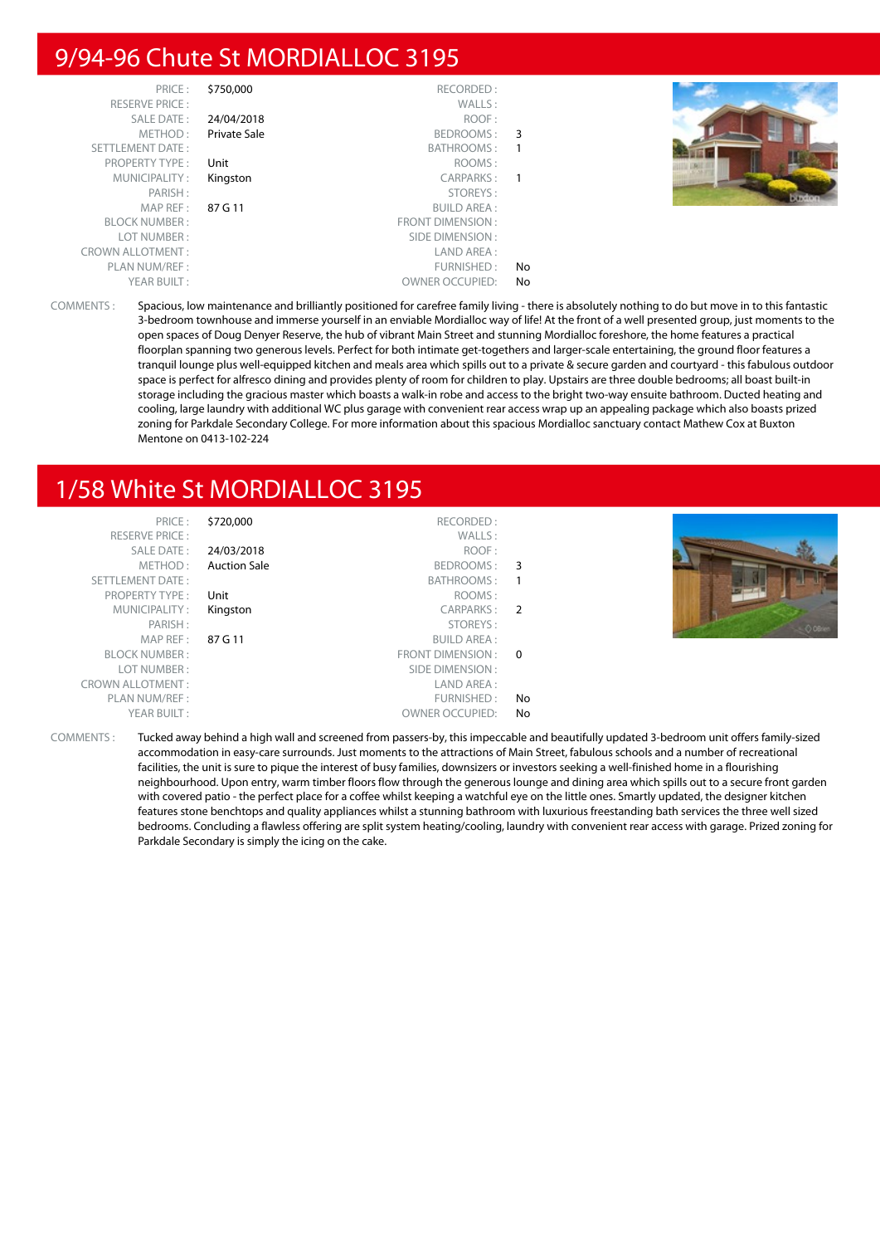## 9/94-96 Chute St MORDIALLOC 3195

| PRICE:<br><b>RESERVE PRICE:</b><br>SALE DATE:<br>METHOD:<br>SETTLEMENT DATE:<br>PROPERTY TYPE:<br>MUNICIPALITY:<br>PARISH: | \$750,000<br>24/04/2018<br>Private Sale<br>Unit<br>Kingston | RECORDED:<br>WALLS:<br>ROOF:<br>BEDROOMS: 3<br>BATHROOMS:<br>ROOMS:<br>CARPARKS:<br>STOREYS:                     | $\mathbf{1}$<br>$\mathbf{1}$ |  |
|----------------------------------------------------------------------------------------------------------------------------|-------------------------------------------------------------|------------------------------------------------------------------------------------------------------------------|------------------------------|--|
| MAPREF:<br><b>BLOCK NUMBER:</b><br>LOT NUMBER:<br><b>CROWN ALLOTMENT:</b><br>PLAN NUM/REF :<br>YEAR BUILT:                 | 87 G 11                                                     | <b>BUILD AREA:</b><br>FRONT DIMENSION:<br>SIDE DIMENSION :<br>LAND AREA:<br>FURNISHED:<br><b>OWNER OCCUPIED:</b> | No<br>No                     |  |

COMMENTS : Spacious, low maintenance and brilliantly positioned for carefree family living - there is absolutely nothing to do but move in to this fantastic 3-bedroom townhouse and immerse yourself in an enviable Mordialloc way of life! At the front of a well presented group, just moments to the open spaces of Doug Denyer Reserve, the hub of vibrant Main Street and stunning Mordialloc foreshore, the home features a practical floorplan spanning two generous levels. Perfect for both intimate get-togethers and larger-scale entertaining, the ground floor features a tranquil lounge plus well-equipped kitchen and meals area which spills out to a private & secure garden and courtyard - this fabulous outdoor space is perfect for alfresco dining and provides plenty of room for children to play. Upstairs are three double bedrooms; all boast built-in storage including the gracious master which boasts a walk-in robe and access to the bright two-way ensuite bathroom. Ducted heating and cooling, large laundry with additional WC plus garage with convenient rear access wrap up an appealing package which also boasts prized zoning for Parkdale Secondary College. For more information about this spacious Mordialloc sanctuary contact Mathew Cox at Buxton Mentone on 0413-102-224

## 1/58 White St MORDIALLOC 3195



COMMENTS : Tucked away behind a high wall and screened from passers-by, this impeccable and beautifully updated 3-bedroom unit offers family-sized accommodation in easy-care surrounds. Just moments to the attractions of Main Street, fabulous schools and a number of recreational facilities, the unit is sure to pique the interest of busy families, downsizers or investors seeking a well-finished home in a flourishing neighbourhood. Upon entry, warm timber floors flow through the generous lounge and dining area which spills out to a secure front garden with covered patio - the perfect place for a coffee whilst keeping a watchful eye on the little ones. Smartly updated, the designer kitchen features stone benchtops and quality appliances whilst a stunning bathroom with luxurious freestanding bath services the three well sized bedrooms. Concluding a flawless offering are split system heating/cooling, laundry with convenient rear access with garage. Prized zoning for Parkdale Secondary is simply the icing on the cake.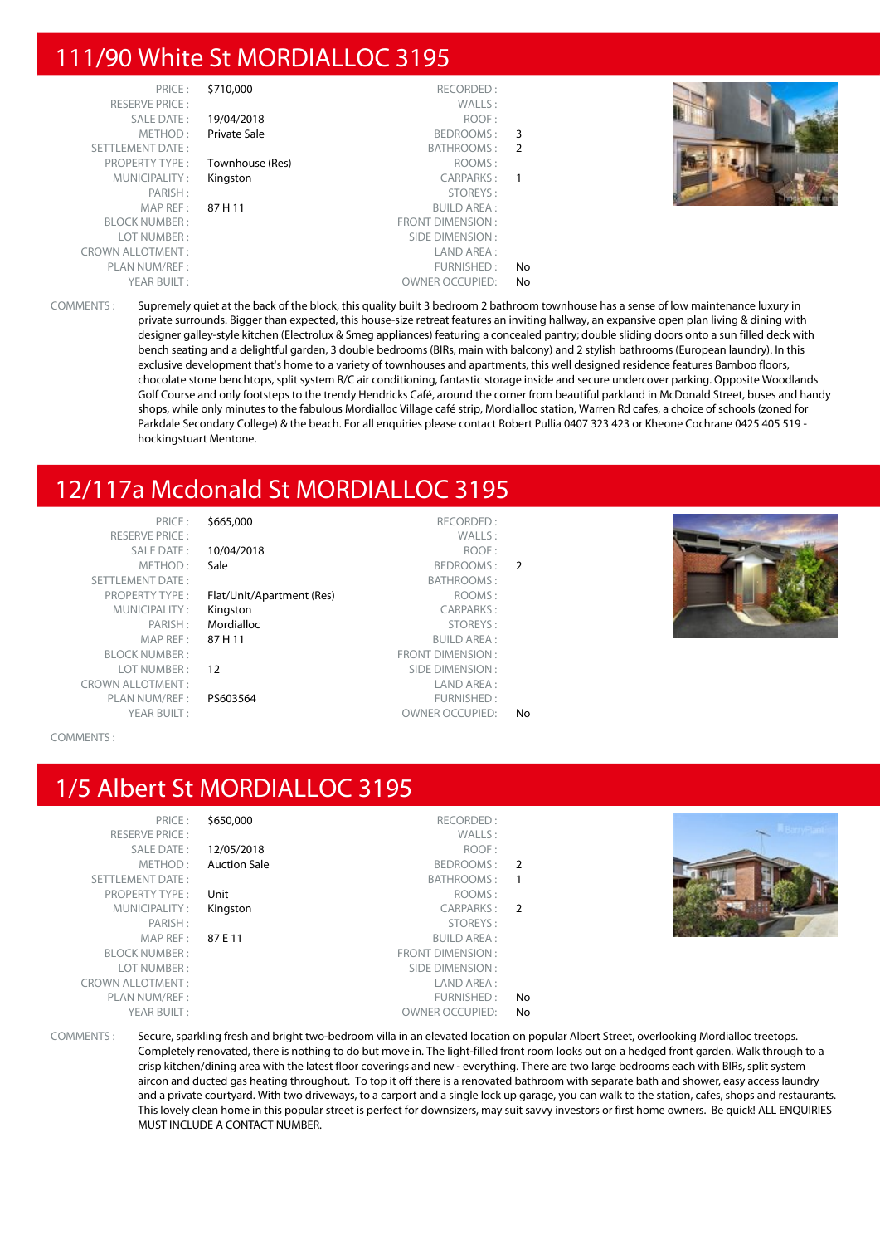## 111/90 White St MORDIALLOC 3195

| PRICE:                  | \$710,000       | RECORDED:               |                |
|-------------------------|-----------------|-------------------------|----------------|
| <b>RESERVE PRICE:</b>   |                 | WALLS:                  |                |
| <b>SALE DATE:</b>       | 19/04/2018      | ROOF:                   |                |
| METHOD:                 | Private Sale    | BEDROOMS:               | 3              |
| <b>SETTLEMENT DATE:</b> |                 | BATHROOMS:              | $\overline{2}$ |
| <b>PROPERTY TYPE:</b>   | Townhouse (Res) | ROOMS:                  |                |
| MUNICIPALITY:           | Kingston        | <b>CARPARKS:</b>        | 1              |
| PARISH:                 |                 | STOREYS:                |                |
| MAP REF:                | 87 H 11         | <b>BUILD AREA:</b>      |                |
| <b>BLOCK NUMBER:</b>    |                 | <b>FRONT DIMENSION:</b> |                |
| LOT NUMBER:             |                 | SIDE DIMENSION:         |                |
| <b>CROWN ALLOTMENT:</b> |                 | LAND AREA:              |                |
| PLAN NUM/REF:           |                 | FURNISHED:              | No             |
| YEAR BUILT:             |                 | <b>OWNER OCCUPIED:</b>  | No             |



COMMENTS : Supremely quiet at the back of the block, this quality built 3 bedroom 2 bathroom townhouse has a sense of low maintenance luxury in private surrounds. Bigger than expected, this house-size retreat features an inviting hallway, an expansive open plan living & dining with designer galley-style kitchen (Electrolux & Smeg appliances) featuring a concealed pantry; double sliding doors onto a sun filled deck with bench seating and a delightful garden, 3 double bedrooms (BIRs, main with balcony) and 2 stylish bathrooms (European laundry). In this exclusive development that's home to a variety of townhouses and apartments, this well designed residence features Bamboo floors, chocolate stone benchtops, split system R/C air conditioning, fantastic storage inside and secure undercover parking. Opposite Woodlands Golf Course and only footsteps to the trendy Hendricks Café, around the corner from beautiful parkland in McDonald Street, buses and handy shops, while only minutes to the fabulous Mordialloc Village café strip, Mordialloc station, Warren Rd cafes, a choice of schools (zoned for Parkdale Secondary College) & the beach. For all enquiries please contact Robert Pullia 0407 323 423 or Kheone Cochrane 0425 405 519 hockingstuart Mentone.

## 12/117a Mcdonald St MORDIALLOC 3195

PRICE : \$665,000 RECORDED : RESERVE PRICE : WALLS : SALE DATE : 10/04/2018 ROOF : METHOD : Sale BEDROOMS : 2 SETTLEMENT DATE :<br>PROPERTY TYPE : **Flat/Unit/Apartment (Res)** BATHROOMS : Flat/Unit/Apartment (Res) ROOMS : MUNICIPALITY : **Kingston** CARPARKS : PARISH : Mordialloc STOREYS : BLOCK NUMBER : FRONT DIMENSION : **12** SIDE DIMENSION : CROWN ALLOTMENT : LAND AREA : PLAN NUM/REF : PS603564 FURNISHED : YEAR BUILT : OWNER OCCUPIED: No

**BUILD AREA:** 



COMMENTS :

## 1/5 Albert St MORDIALLOC 3195

|               | RECORDED:               | \$650,000           | PRICE:                  |
|---------------|-------------------------|---------------------|-------------------------|
|               |                         |                     |                         |
|               | WALLS:                  |                     | <b>RESERVE PRICE:</b>   |
|               | ROOF:                   | 12/05/2018          | <b>SALE DATE:</b>       |
| $\mathcal{P}$ | BEDROOMS:               | <b>Auction Sale</b> | METHOD:                 |
| 1             | BATHROOMS:              |                     | <b>SETTLEMENT DATE:</b> |
|               | ROOMS:                  | Unit                | <b>PROPERTY TYPE:</b>   |
| $\mathcal{P}$ | CARPARKS:               | Kingston            | MUNICIPALITY:           |
|               | STOREYS:                |                     | PARISH:                 |
|               | <b>BUILD AREA:</b>      | 87F11               | MAP REF:                |
|               | <b>FRONT DIMENSION:</b> |                     | <b>BLOCK NUMBER:</b>    |
|               | SIDE DIMENSION:         |                     | LOT NUMBER:             |
|               | LAND AREA:              |                     | <b>CROWN ALLOTMENT:</b> |
| No            | FURNISHED:              |                     | PLAN NUM/REF :          |
| No            | <b>OWNER OCCUPIED:</b>  |                     | YEAR BUILT:             |
|               |                         |                     |                         |



COMMENTS : Secure, sparkling fresh and bright two-bedroom villa in an elevated location on popular Albert Street, overlooking Mordialloc treetops. Completely renovated, there is nothing to do but move in. The light-filled front room looks out on a hedged front garden. Walk through to a crisp kitchen/dining area with the latest floor coverings and new - everything. There are two large bedrooms each with BIRs, split system aircon and ducted gas heating throughout. To top it off there is a renovated bathroom with separate bath and shower, easy access laundry and a private courtyard. With two driveways, to a carport and a single lock up garage, you can walk to the station, cafes, shops and restaurants. This lovely clean home in this popular street is perfect for downsizers, may suit savvy investors or first home owners. Be quick! ALL ENQUIRIES MUST INCLUDE A CONTACT NUMBER.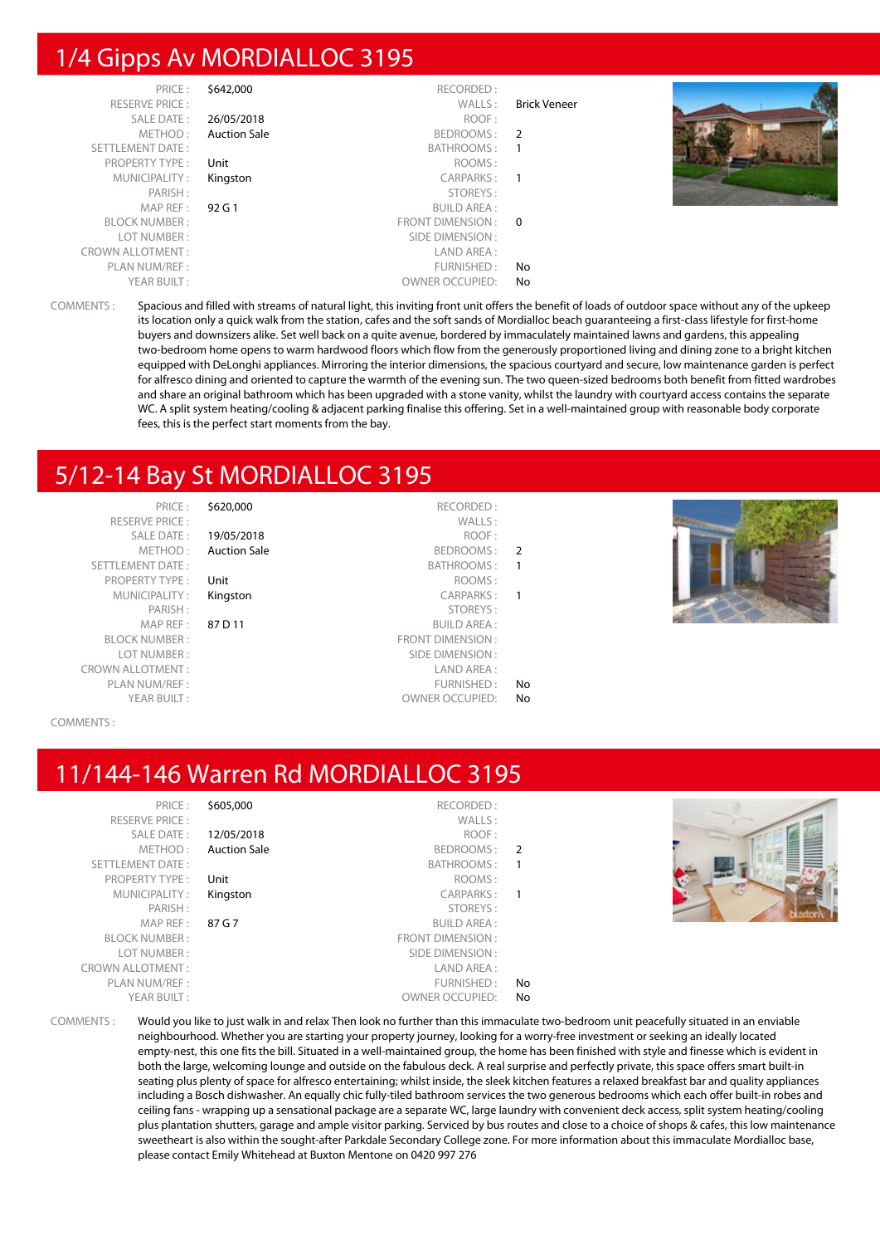## 1/4 Gipps Av MORDIALLOC 3195

| PRICE:                  | \$642,000           | RECORDED:              |                     |  |
|-------------------------|---------------------|------------------------|---------------------|--|
| <b>RESERVE PRICE:</b>   |                     | WALLS:                 | <b>Brick Veneer</b> |  |
| <b>SALE DATE:</b>       | 26/05/2018          | ROOF:                  |                     |  |
| METHOD:                 | <b>Auction Sale</b> | BEDROOMS: 2            |                     |  |
| SETTLEMENT DATE:        |                     | BATHROOMS:             |                     |  |
| <b>PROPERTY TYPE:</b>   | Unit                | ROOMS:                 |                     |  |
| MUNICIPALITY:           | Kingston            | CARPARKS:              |                     |  |
| PARISH:                 |                     | STOREYS:               |                     |  |
| MAP REF:                | 92 G 1              | <b>BUILD AREA:</b>     |                     |  |
| <b>BLOCK NUMBER:</b>    |                     | FRONT DIMENSION : 0    |                     |  |
| LOT NUMBER:             |                     | SIDE DIMENSION :       |                     |  |
| <b>CROWN ALLOTMENT:</b> |                     | LAND AREA:             |                     |  |
| PLAN NUM/REF:           |                     | FURNISHED:             | No                  |  |
| YEAR BUILT:             |                     | <b>OWNER OCCUPIED:</b> | No                  |  |

COMMENTS : Spacious and filled with streams of natural light, this inviting front unit offers the benefit of loads of outdoor space without any of the upkeep its location only a quick walk from the station, cafes and the soft sands of Mordialloc beach guaranteeing a first-class lifestyle for first-home buyers and downsizers alike. Set well back on a quite avenue, bordered by immaculately maintained lawns and gardens, this appealing two-bedroom home opens to warm hardwood floors which flow from the generously proportioned living and dining zone to a bright kitchen equipped with DeLonghi appliances. Mirroring the interior dimensions, the spacious courtyard and secure, low maintenance garden is perfect for alfresco dining and oriented to capture the warmth of the evening sun. The two queen-sized bedrooms both benefit from fitted wardrobes and share an original bathroom which has been upgraded with a stone vanity, whilst the laundry with courtyard access contains the separate WC. A split system heating/cooling & adjacent parking finalise this offering. Set in a well-maintained group with reasonable body corporate fees, this is the perfect start moments from the bay.

## 5/12-14 Bay St MORDIALLOC 3195

PRICE : \$620,000 RECORDED : RESERVE PRICE : WALLS : PROPERTY TYPE : Unit BLOCK NUMBER : LOT NUMBER : CROWN ALLOTMENT: YEAR BUILT : OWNER OCCUPIED: No

SALE DATE : **19/05/2018** ROOF :

| $\mathcal{P}$ | <b>Auction Sale</b><br>BEDROOMS: | METHOD:                 |
|---------------|----------------------------------|-------------------------|
|               | BATHROOMS:                       | <b>SETTLEMENT DATE:</b> |
|               | ROOMS:<br>Unit                   | <b>PROPERTY TYPE:</b>   |
|               | CARPARKS:<br>Kingston            | MUNICIPALITY:           |
|               | STOREYS:                         | PARISH:                 |
|               | <b>BUILD AREA:</b><br>87 D 11    | MAP REF:                |
|               | <b>FRONT DIMENSION:</b>          | <b>BLOCK NUMBER:</b>    |
|               | SIDE DIMENSION:                  | LOT NUMBER:             |
|               | LAND AREA:                       | ROWN ALLOTMENT :        |
| No            | FURNISHED:                       | PLAN NUM/REF:           |
|               |                                  |                         |



#### COMMENTS :

## 11/144-146 Warren Rd MORDIALLOC 3195

| PRICE:                  | \$605,000           | RECORDED:               |                |
|-------------------------|---------------------|-------------------------|----------------|
| <b>RESERVE PRICE:</b>   |                     | WALLS:                  |                |
| <b>SALE DATE:</b>       | 12/05/2018          | ROOF:                   |                |
| METHOD:                 | <b>Auction Sale</b> | BEDROOMS:               | $\overline{2}$ |
| <b>SETTLEMENT DATE:</b> |                     | BATHROOMS:              |                |
| <b>PROPERTY TYPE:</b>   | Unit                | ROOMS:                  |                |
| MUNICIPALITY:           | Kingston            | CARPARKS:               | $\overline{1}$ |
| PARISH:                 |                     | STOREYS:                |                |
| MAP REF:                | 87 G 7              | <b>BUILD AREA:</b>      |                |
| <b>BLOCK NUMBER:</b>    |                     | <b>FRONT DIMENSION:</b> |                |
| LOT NUMBER:             |                     | SIDE DIMENSION:         |                |
| <b>CROWN ALLOTMENT:</b> |                     | LAND AREA:              |                |
| PLAN NUM/REF:           |                     | FURNISHED:              | No             |
| YEAR BUILT:             |                     | <b>OWNER OCCUPIED:</b>  | No             |



COMMENTS : Would you like to just walk in and relax Then look no further than this immaculate two-bedroom unit peacefully situated in an enviable neighbourhood. Whether you are starting your property journey, looking for a worry-free investment or seeking an ideally located empty-nest, this one fits the bill. Situated in a well-maintained group, the home has been finished with style and finesse which is evident in both the large, welcoming lounge and outside on the fabulous deck. A real surprise and perfectly private, this space offers smart built-in seating plus plenty of space for alfresco entertaining; whilst inside, the sleek kitchen features a relaxed breakfast bar and quality appliances including a Bosch dishwasher. An equally chic fully-tiled bathroom services the two generous bedrooms which each offer built-in robes and ceiling fans - wrapping up a sensational package are a separate WC, large laundry with convenient deck access, split system heating/cooling plus plantation shutters, garage and ample visitor parking. Serviced by bus routes and close to a choice of shops & cafes, this low maintenance sweetheart is also within the sought-after Parkdale Secondary College zone. For more information about this immaculate Mordialloc base, please contact Emily Whitehead at Buxton Mentone on 0420 997 276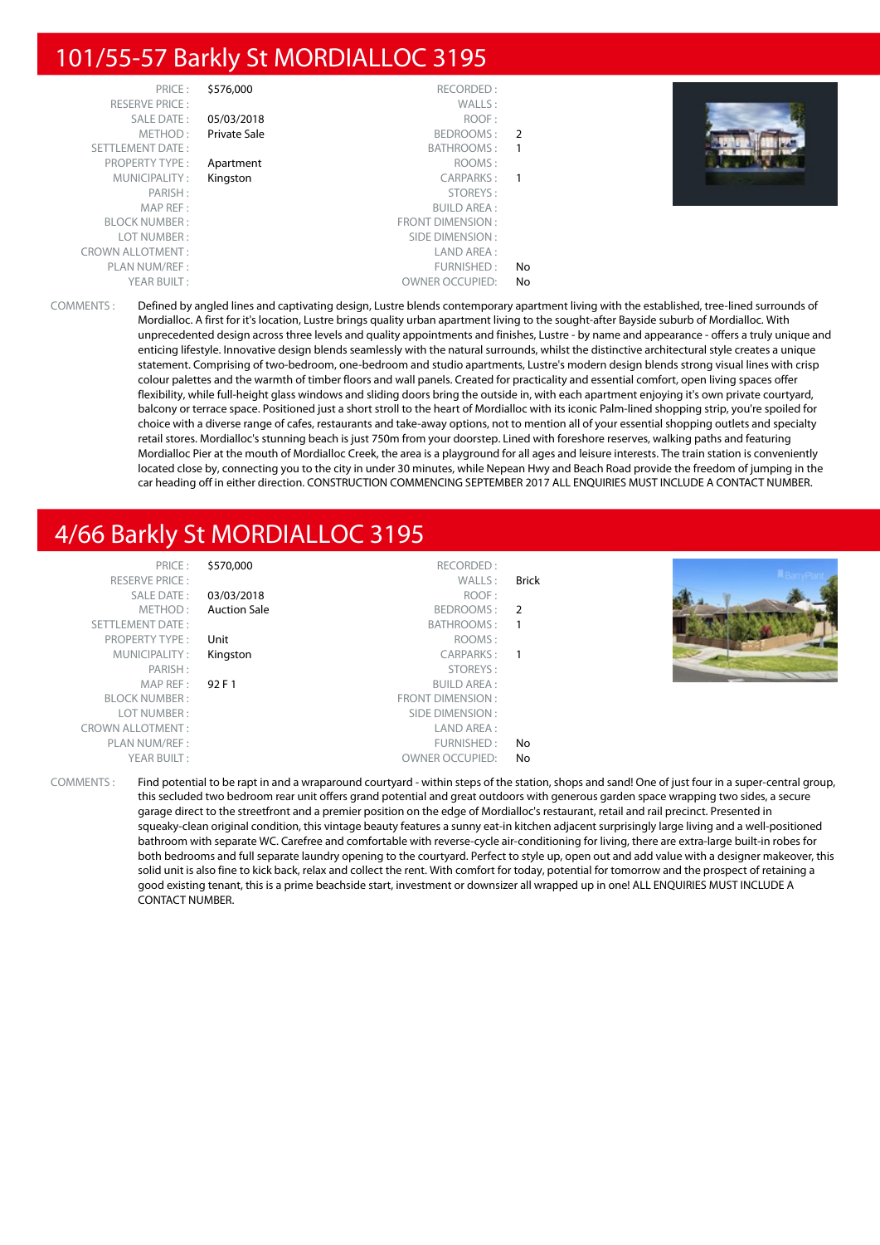## 101/55-57 Barkly St MORDIALLOC 3195

| PRICE:                  | \$576,000    | RECORDED:               |                |  |
|-------------------------|--------------|-------------------------|----------------|--|
| <b>RESERVE PRICE:</b>   |              | WALLS:                  |                |  |
| SALE DATE:              | 05/03/2018   | ROOF:                   |                |  |
| METHOD:                 | Private Sale | BEDROOMS:               | $\overline{2}$ |  |
| <b>SETTLEMENT DATE:</b> |              | BATHROOMS:              | -1             |  |
| <b>PROPERTY TYPE:</b>   | Apartment    | ROOMS:                  |                |  |
| MUNICIPALITY:           | Kingston     | CARPARKS:               | -1             |  |
| PARISH:                 |              | STOREYS:                |                |  |
| MAP REF:                |              | <b>BUILD AREA:</b>      |                |  |
| <b>BLOCK NUMBER:</b>    |              | <b>FRONT DIMENSION:</b> |                |  |
| LOT NUMBER:             |              | SIDE DIMENSION:         |                |  |
| <b>CROWN ALLOTMENT:</b> |              | LAND AREA:              |                |  |
| PLAN NUM/REF:           |              | FURNISHED:              | No             |  |
| YEAR BUILT:             |              | <b>OWNER OCCUPIED:</b>  | No             |  |



COMMENTS : Defined by angled lines and captivating design, Lustre blends contemporary apartment living with the established, tree-lined surrounds of Mordialloc. A first for it's location, Lustre brings quality urban apartment living to the sought-after Bayside suburb of Mordialloc. With unprecedented design across three levels and quality appointments and finishes, Lustre - by name and appearance - offers a truly unique and enticing lifestyle. Innovative design blends seamlessly with the natural surrounds, whilst the distinctive architectural style creates a unique statement. Comprising of two-bedroom, one-bedroom and studio apartments, Lustre's modern design blends strong visual lines with crisp colour palettes and the warmth of timber floors and wall panels. Created for practicality and essential comfort, open living spaces offer flexibility, while full-height glass windows and sliding doors bring the outside in, with each apartment enjoying it's own private courtyard, balcony or terrace space. Positioned just a short stroll to the heart of Mordialloc with its iconic Palm-lined shopping strip, you're spoiled for choice with a diverse range of cafes, restaurants and take-away options, not to mention all of your essential shopping outlets and specialty retail stores. Mordialloc's stunning beach is just 750m from your doorstep. Lined with foreshore reserves, walking paths and featuring Mordialloc Pier at the mouth of Mordialloc Creek, the area is a playground for all ages and leisure interests. The train station is conveniently located close by, connecting you to the city in under 30 minutes, while Nepean Hwy and Beach Road provide the freedom of jumping in the car heading off in either direction. CONSTRUCTION COMMENCING SEPTEMBER 2017 ALL ENQUIRIES MUST INCLUDE A CONTACT NUMBER.

## 4/66 Barkly St MORDIALLOC 3195

| PRICE:                  | \$570,000           | RECORDED:               |       |  |
|-------------------------|---------------------|-------------------------|-------|--|
| <b>RESERVE PRICE:</b>   |                     | WALLS:                  | Brick |  |
| SALE DATE:              | 03/03/2018          | ROOF:                   |       |  |
| METHOD:                 | <b>Auction Sale</b> | BEDROOMS: 2             |       |  |
| SETTLEMENT DATE:        |                     | BATHROOMS:              |       |  |
| <b>PROPERTY TYPE:</b>   | Unit                | ROOMS:                  |       |  |
| MUNICIPALITY:           | Kingston            | CARPARKS:               |       |  |
| PARISH:                 |                     | STOREYS:                |       |  |
| MAPREF:                 | 92 F 1              | <b>BUILD AREA:</b>      |       |  |
| <b>BLOCK NUMBER:</b>    |                     | <b>FRONT DIMENSION:</b> |       |  |
| LOT NUMBER:             |                     | SIDE DIMENSION :        |       |  |
| <b>CROWN ALLOTMENT:</b> |                     | LAND AREA:              |       |  |
| PLAN NUM/REF:           |                     | FURNISHED:              | No    |  |
| YEAR BUILT:             |                     | <b>OWNER OCCUPIED:</b>  | No    |  |

COMMENTS : Find potential to be rapt in and a wraparound courtyard - within steps of the station, shops and sand! One of just four in a super-central group, this secluded two bedroom rear unit offers grand potential and great outdoors with generous garden space wrapping two sides, a secure garage direct to the streetfront and a premier position on the edge of Mordialloc's restaurant, retail and rail precinct. Presented in squeaky-clean original condition, this vintage beauty features a sunny eat-in kitchen adjacent surprisingly large living and a well-positioned bathroom with separate WC. Carefree and comfortable with reverse-cycle air-conditioning for living, there are extra-large built-in robes for both bedrooms and full separate laundry opening to the courtyard. Perfect to style up, open out and add value with a designer makeover, this solid unit is also fine to kick back, relax and collect the rent. With comfort for today, potential for tomorrow and the prospect of retaining a good existing tenant, this is a prime beachside start, investment or downsizer all wrapped up in one! ALL ENQUIRIES MUST INCLUDE A CONTACT NUMBER.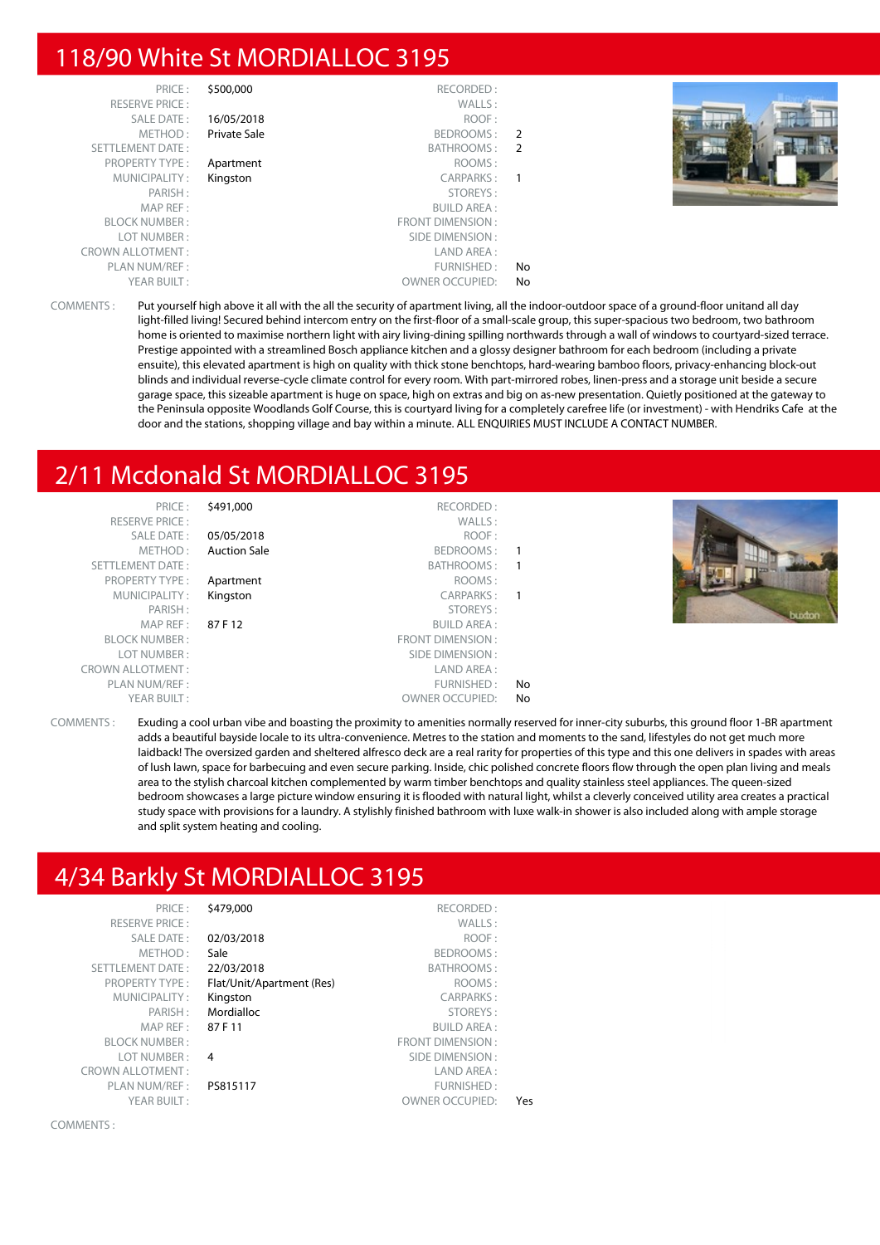## 118/90 White St MORDIALLOC 3195

| PRICE:                  | \$500,000    | RECORDED:               |                |
|-------------------------|--------------|-------------------------|----------------|
| <b>RESERVE PRICE:</b>   |              | WALLS:                  |                |
| SALE DATE:              | 16/05/2018   | ROOF:                   |                |
| METHOD:                 | Private Sale | BEDROOMS:               | $\overline{2}$ |
| <b>SETTLEMENT DATE:</b> |              | BATHROOMS:              | -2             |
| <b>PROPERTY TYPE:</b>   | Apartment    | ROOMS:                  |                |
| MUNICIPALITY:           | Kingston     | CARPARKS:               |                |
| PARISH:                 |              | STOREYS:                |                |
| MAP REF:                |              | <b>BUILD AREA:</b>      |                |
| <b>BLOCK NUMBER:</b>    |              | <b>FRONT DIMENSION:</b> |                |
| LOT NUMBER:             |              | SIDE DIMENSION:         |                |
| <b>CROWN ALLOTMENT:</b> |              | LAND AREA:              |                |
| PLAN NUM/REF:           |              | FURNISHED:              | No             |
| YEAR BUILT:             |              | <b>OWNER OCCUPIED:</b>  | No             |



COMMENTS : Put yourself high above it all with the all the security of apartment living, all the indoor-outdoor space of a ground-floor unitand all day light-filled living! Secured behind intercom entry on the first-floor of a small-scale group, this super-spacious two bedroom, two bathroom home is oriented to maximise northern light with airy living-dining spilling northwards through a wall of windows to courtyard-sized terrace. Prestige appointed with a streamlined Bosch appliance kitchen and a glossy designer bathroom for each bedroom (including a private ensuite), this elevated apartment is high on quality with thick stone benchtops, hard-wearing bamboo floors, privacy-enhancing block-out blinds and individual reverse-cycle climate control for every room. With part-mirrored robes, linen-press and a storage unit beside a secure garage space, this sizeable apartment is huge on space, high on extras and big on as-new presentation. Quietly positioned at the gateway to the Peninsula opposite Woodlands Golf Course, this is courtyard living for a completely carefree life (or investment) - with Hendriks Cafe at the door and the stations, shopping village and bay within a minute. ALL ENQUIRIES MUST INCLUDE A CONTACT NUMBER.

## 2/11 Mcdonald St MORDIALLOC 3195

| PRICE:                  | \$491,000           | RECORDED:              |    |  |
|-------------------------|---------------------|------------------------|----|--|
| <b>RESERVE PRICE:</b>   |                     | WALLS:                 |    |  |
| SALE DATE:              | 05/05/2018          | ROOF:                  |    |  |
| METHOD:                 | <b>Auction Sale</b> | BEDROOMS:              |    |  |
| SETTLEMENT DATE:        |                     | <b>BATHROOMS:</b>      |    |  |
| <b>PROPERTY TYPE:</b>   | Apartment           | ROOMS:                 |    |  |
| MUNICIPALITY:           | Kingston            | CARPARKS:              | 1  |  |
| PARISH:                 |                     | STOREYS:               |    |  |
| MAP REF:                | 87 F 12             | <b>BUILD AREA:</b>     |    |  |
| <b>BLOCK NUMBER:</b>    |                     | FRONT DIMENSION:       |    |  |
| LOT NUMBER:             |                     | SIDE DIMENSION:        |    |  |
| <b>CROWN ALLOTMENT:</b> |                     | LAND AREA:             |    |  |
| PLAN NUM/REF:           |                     | FURNISHED:             | No |  |
| YEAR BUILT:             |                     | <b>OWNER OCCUPIED:</b> | No |  |
|                         |                     |                        |    |  |



COMMENTS : Exuding a cool urban vibe and boasting the proximity to amenities normally reserved for inner-city suburbs, this ground floor 1-BR apartment adds a beautiful bayside locale to its ultra-convenience. Metres to the station and moments to the sand, lifestyles do not get much more laidback! The oversized garden and sheltered alfresco deck are a real rarity for properties of this type and this one delivers in spades with areas of lush lawn, space for barbecuing and even secure parking. Inside, chic polished concrete floors flow through the open plan living and meals area to the stylish charcoal kitchen complemented by warm timber benchtops and quality stainless steel appliances. The queen-sized bedroom showcases a large picture window ensuring it is flooded with natural light, whilst a cleverly conceived utility area creates a practical study space with provisions for a laundry. A stylishly finished bathroom with luxe walk-in shower is also included along with ample storage and split system heating and cooling.

### 4/34 Barkly St MORDIALLOC 3195

| PRICE:                  | \$479,000                 | RECORDED:               |     |
|-------------------------|---------------------------|-------------------------|-----|
| <b>RESERVE PRICE:</b>   |                           | WALLS:                  |     |
| <b>SALE DATE:</b>       | 02/03/2018                | ROOF:                   |     |
| METHOD:                 | Sale                      | <b>BEDROOMS:</b>        |     |
| <b>SETTLEMENT DATE:</b> | 22/03/2018                | BATHROOMS:              |     |
| <b>PROPERTY TYPE:</b>   | Flat/Unit/Apartment (Res) | ROOMS:                  |     |
| MUNICIPALITY:           | Kingston                  | <b>CARPARKS:</b>        |     |
| PARISH:                 | Mordialloc                | STOREYS:                |     |
| MAP REF:                | 87 F 11                   | <b>BUILD AREA:</b>      |     |
| <b>BLOCK NUMBER:</b>    |                           | <b>FRONT DIMENSION:</b> |     |
| LOT NUMBER:             | 4                         | SIDE DIMENSION:         |     |
| <b>CROWN ALLOTMENT:</b> |                           | LAND AREA:              |     |
| PLAN NUM/REF:           | PS815117                  | <b>FURNISHED:</b>       |     |
| YEAR BUILT:             |                           | <b>OWNER OCCUPIED:</b>  | Yes |
|                         |                           |                         |     |

COMMENTS :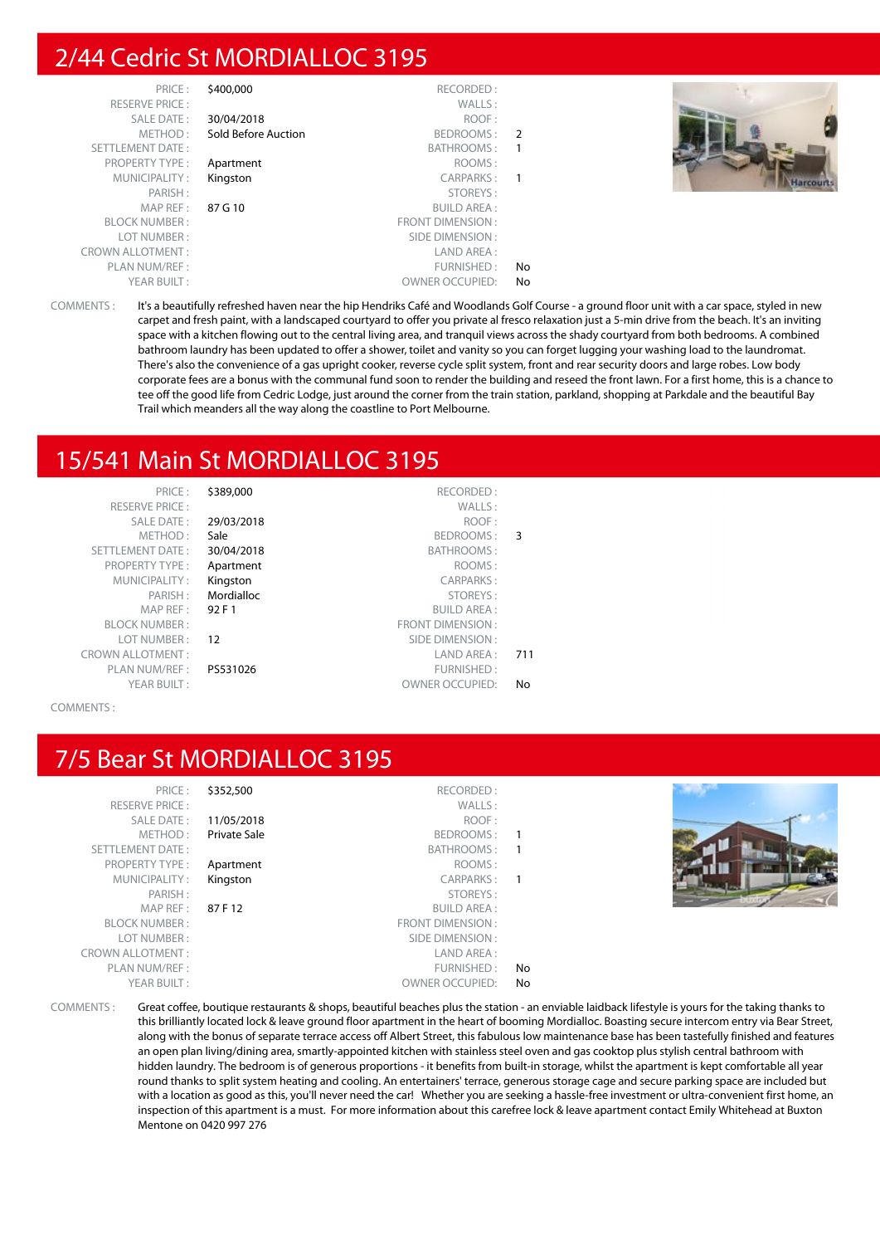## 2/44 Cedric St MORDIALLOC 3195

| PRICE:                  | \$400,000           | RECORDED:               |               |
|-------------------------|---------------------|-------------------------|---------------|
| <b>RESERVE PRICE:</b>   |                     | WALLS:                  |               |
| SALE DATE:              | 30/04/2018          | ROOF:                   |               |
| METHOD:                 | Sold Before Auction | BEDROOMS:               | $\mathcal{P}$ |
| SETTLEMENT DATE:        |                     | BATHROOMS:              |               |
| <b>PROPERTY TYPE:</b>   | Apartment           | ROOMS:                  |               |
| MUNICIPALITY:           | Kingston            | CARPARKS:               |               |
| PARISH:                 |                     | STOREYS:                |               |
| MAP REF:                | 87 G 10             | <b>BUILD AREA:</b>      |               |
| <b>BLOCK NUMBER:</b>    |                     | <b>FRONT DIMENSION:</b> |               |
| LOT NUMBER:             |                     | SIDE DIMENSION:         |               |
| <b>CROWN ALLOTMENT:</b> |                     | LAND AREA:              |               |
| PLAN NUM/REF:           |                     | FURNISHED:              | No            |
| YEAR BUILT:             |                     | <b>OWNER OCCUPIED:</b>  | No            |



COMMENTS : It's a beautifully refreshed haven near the hip Hendriks Café and Woodlands Golf Course - a ground floor unit with a car space, styled in new carpet and fresh paint, with a landscaped courtyard to offer you private al fresco relaxation just a 5-min drive from the beach. It's an inviting space with a kitchen flowing out to the central living area, and tranquil views across the shady courtyard from both bedrooms. A combined bathroom laundry has been updated to offer a shower, toilet and vanity so you can forget lugging your washing load to the laundromat. There's also the convenience of a gas upright cooker, reverse cycle split system, front and rear security doors and large robes. Low body corporate fees are a bonus with the communal fund soon to render the building and reseed the front lawn. For a first home, this is a chance to tee off the good life from Cedric Lodge, just around the corner from the train station, parkland, shopping at Parkdale and the beautiful Bay Trail which meanders all the way along the coastline to Port Melbourne.

## 15/541 Main St MORDIALLOC 3195

| PRICE:                  | \$389,000  | RECORDED:               |     |
|-------------------------|------------|-------------------------|-----|
| <b>RESERVE PRICE:</b>   |            | WALLS:                  |     |
| <b>SALE DATE:</b>       | 29/03/2018 | ROOF:                   |     |
| METHOD:                 | Sale       | BEDROOMS:               | 3   |
| <b>SETTLEMENT DATE:</b> | 30/04/2018 | BATHROOMS:              |     |
| <b>PROPERTY TYPE:</b>   | Apartment  | ROOMS:                  |     |
| MUNICIPALITY:           | Kingston   | CARPARKS:               |     |
| PARISH:                 | Mordialloc | STOREYS:                |     |
| MAP REF:                | 92 F 1     | <b>BUILD AREA:</b>      |     |
| <b>BLOCK NUMBER:</b>    |            | <b>FRONT DIMENSION:</b> |     |
| LOT NUMBER:             | 12         | SIDE DIMENSION:         |     |
| <b>CROWN ALLOTMENT:</b> |            | LAND AREA:              | 711 |
| PLAN NUM/REF :          | PS531026   | FURNISHED:              |     |
| YEAR BUILT:             |            | <b>OWNER OCCUPIED:</b>  | No  |
|                         |            |                         |     |

COMMENTS :

### 7/5 Bear St MORDIALLOC 3195

| دد  | PRIUT.                  |
|-----|-------------------------|
|     | <b>RESERVE PRICE:</b>   |
| 11  | SALE DATE:              |
| Pri | METHOD:                 |
|     | <b>SETTLEMENT DATE:</b> |
| Ar  | PROPERTY TYPE:          |
| Kir | MUNICIPALITY:           |
|     | PARISH:                 |
| 87  | MAP REF :               |
|     | <b>BLOCK NUMBER:</b>    |
|     | LOT NUMBER:             |
|     | <b>CROWN ALLOTMENT:</b> |
|     | PLAN NUM/REF :          |
|     | YEAR BUILT:             |
|     |                         |

PRECORDED :<br>PRECORDED : RECORDED :<br>WALLS : RESERVE PRICE : WALLS : SALE DATE : **11/05/2018** ROOF : ivate Sale **Example 3 and SEDROOMS** : 1 BATHROOMS : 1 PROPERTY TYPE : **Apartment Example 20 Apartment ROOMS** : ngston CARPARKS : 1 PARISH : STOREYS : **F 12** BUILD AREA : FRONT DIMENSION : SIDE DIMENSION : LAND AREA : FURNISHED : No OWNER OCCUPIED: No



COMMENTS : Great coffee, boutique restaurants & shops, beautiful beaches plus the station - an enviable laidback lifestyle is yours for the taking thanks to this brilliantly located lock & leave ground floor apartment in the heart of booming Mordialloc. Boasting secure intercom entry via Bear Street, along with the bonus of separate terrace access off Albert Street, this fabulous low maintenance base has been tastefully finished and features an open plan living/dining area, smartly-appointed kitchen with stainless steel oven and gas cooktop plus stylish central bathroom with hidden laundry. The bedroom is of generous proportions - it benefits from built-in storage, whilst the apartment is kept comfortable all year round thanks to split system heating and cooling. An entertainers' terrace, generous storage cage and secure parking space are included but with a location as good as this, you'll never need the car! Whether you are seeking a hassle-free investment or ultra-convenient first home, an inspection of this apartment is a must. For more information about this carefree lock & leave apartment contact Emily Whitehead at Buxton Mentone on 0420 997 276